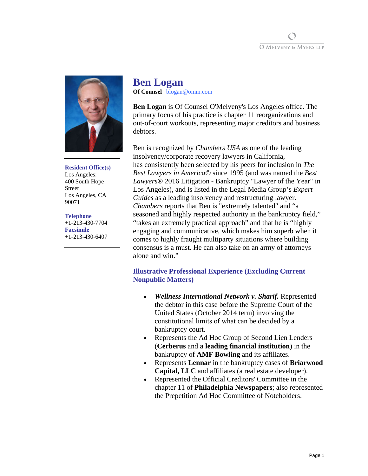



#### **Resident Office(s)**

Los Angeles: 400 South Hope Street Los Angeles, CA 90071

#### **Telephone**

+1-213-430-7704 **Facsimile**  +1-213-430-6407

# **Ben Logan Of Counsel |** blogan@omm.com

**Ben Logan** is Of Counsel O'Melveny's Los Angeles office. The primary focus of his practice is chapter 11 reorganizations and out-of-court workouts, representing major creditors and business debtors.

Ben is recognized by *Chambers USA* as one of the leading insolvency/corporate recovery lawyers in California, has consistently been selected by his peers for inclusion in *The Best Lawyers in America©* since 1995 (and was named the *Best Lawyers*® 2016 Litigation - Bankruptcy "Lawyer of the Year" in Los Angeles), and is listed in the Legal Media Group's *Expert Guides* as a leading insolvency and restructuring lawyer. *Chambers* reports that Ben is "extremely talented" and "a seasoned and highly respected authority in the bankruptcy field," "takes an extremely practical approach" and that he is "highly engaging and communicative, which makes him superb when it comes to highly fraught multiparty situations where building consensus is a must. He can also take on an army of attorneys alone and win."

# **Illustrative Professional Experience (Excluding Current Nonpublic Matters)**

- *Wellness International Network v. Sharif.* Represented the debtor in this case before the Supreme Court of the United States (October 2014 term) involving the constitutional limits of what can be decided by a bankruptcy court.
- Represents the Ad Hoc Group of Second Lien Lenders (**Cerberus** and **a leading financial institution**) in the bankruptcy of **AMF Bowling** and its affiliates.
- Represents **Lennar** in the bankruptcy cases of **Briarwood Capital, LLC** and affiliates (a real estate developer).
- Represented the Official Creditors' Committee in the chapter 11 of **Philadelphia Newspapers**; also represented the Prepetition Ad Hoc Committee of Noteholders.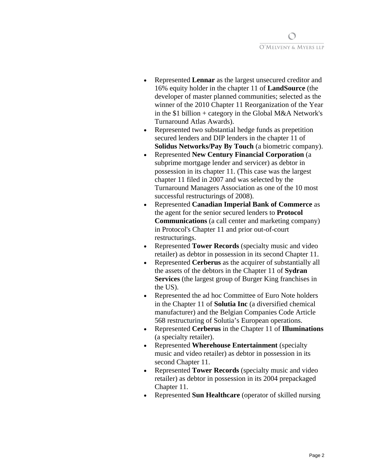

- Represented **Lennar** as the largest unsecured creditor and 16% equity holder in the chapter 11 of **LandSource** (the developer of master planned communities; selected as the winner of the 2010 Chapter 11 Reorganization of the Year in the \$1 billion + category in the Global M&A Network's Turnaround Atlas Awards).
- Represented two substantial hedge funds as prepetition secured lenders and DIP lenders in the chapter 11 of **Solidus Networks/Pay By Touch** (a biometric company).
- Represented **New Century Financial Corporation** (a subprime mortgage lender and servicer) as debtor in possession in its chapter 11. (This case was the largest chapter 11 filed in 2007 and was selected by the Turnaround Managers Association as one of the 10 most successful restructurings of 2008).
- Represented **Canadian Imperial Bank of Commerce** as the agent for the senior secured lenders to **Protocol Communications** (a call center and marketing company) in Protocol's Chapter 11 and prior out-of-court restructurings.
- Represented **Tower Records** (specialty music and video retailer) as debtor in possession in its second Chapter 11.
- Represented **Cerberus** as the acquirer of substantially all the assets of the debtors in the Chapter 11 of **Sydran Services** (the largest group of Burger King franchises in the US).
- Represented the ad hoc Committee of Euro Note holders in the Chapter 11 of **Solutia Inc** (a diversified chemical manufacturer) and the Belgian Companies Code Article 568 restructuring of Solutia's European operations.
- Represented **Cerberus** in the Chapter 11 of **Illuminations** (a specialty retailer).
- Represented **Wherehouse Entertainment** (specialty music and video retailer) as debtor in possession in its second Chapter 11.
- Represented **Tower Records** (specialty music and video retailer) as debtor in possession in its 2004 prepackaged Chapter 11.
- Represented **Sun Healthcare** (operator of skilled nursing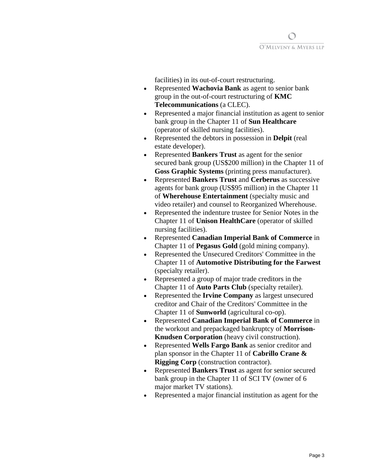

facilities) in its out-of-court restructuring.

- Represented **Wachovia Bank** as agent to senior bank group in the out-of-court restructuring of **KMC Telecommunications** (a CLEC).
- Represented a major financial institution as agent to senior bank group in the Chapter 11 of **Sun Healthcare** (operator of skilled nursing facilities).
- Represented the debtors in possession in **Delpit** (real estate developer).
- Represented **Bankers Trust** as agent for the senior secured bank group (US\$200 million) in the Chapter 11 of **Goss Graphic Systems** (printing press manufacturer).
- Represented **Bankers Trust** and **Cerberus** as successive agents for bank group (US\$95 million) in the Chapter 11 of **Wherehouse Entertainment** (specialty music and video retailer) and counsel to Reorganized Wherehouse.
- Represented the indenture trustee for Senior Notes in the Chapter 11 of **Unison HealthCare** (operator of skilled nursing facilities).
- Represented **Canadian Imperial Bank of Commerce** in Chapter 11 of **Pegasus Gold** (gold mining company).
- Represented the Unsecured Creditors' Committee in the Chapter 11 of **Automotive Distributing for the Farwest**  (specialty retailer).
- Represented a group of major trade creditors in the Chapter 11 of **Auto Parts Club** (specialty retailer).
- Represented the **Irvine Company** as largest unsecured creditor and Chair of the Creditors' Committee in the Chapter 11 of **Sunworld** (agricultural co-op).
- Represented **Canadian Imperial Bank of Commerce** in the workout and prepackaged bankruptcy of **Morrison-Knudsen Corporation** (heavy civil construction).
- Represented **Wells Fargo Bank** as senior creditor and plan sponsor in the Chapter 11 of **Cabrillo Crane & Rigging Corp** (construction contractor).
- Represented **Bankers Trust** as agent for senior secured bank group in the Chapter 11 of SCI TV (owner of 6 major market TV stations).
- Represented a major financial institution as agent for the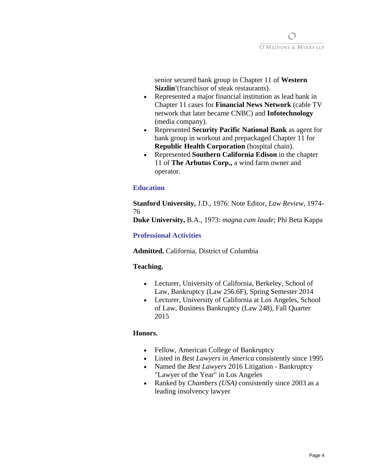

senior secured bank group in Chapter 11 of **Western Sizzlin'**(franchisor of steak restaurants).

- Represented a major financial institution as lead bank in Chapter 11 cases for **Financial News Network** (cable TV network that later became CNBC) and **Infotechnology** (media company).
- Represented **Security Pacific National Bank** as agent for bank group in workout and prepackaged Chapter 11 for **Republic Health Corporation** (hospital chain).
- Represented **Southern California Edison** in the chapter 11 of **The Arbutus Corp.,** a wind farm owner and operator.

# **Education**

**Stanford University,** J.D., 1976: Note Editor, *Law Review*, 1974- 76

**Duke University,** B.A., 1973: *magna cum laude*; Phi Beta Kappa

## **Professional Activities**

**Admitted.** California, District of Columbia

## **Teaching.**

- Lecturer, University of California, Berkeley, School of Law, Bankruptcy (Law 256.6F), Spring Semester 2014
- Lecturer, University of California at Los Angeles, School of Law, Business Bankruptcy (Law 248), Fall Quarter 2015

# **Honors.**

- Fellow, American College of Bankruptcy
- Listed in *Best Lawyers in America* consistently since 1995
- Named the *Best Lawyers* 2016 Litigation Bankruptcy "Lawyer of the Year" in Los Angeles
- Ranked by *Chambers (USA)* consistently since 2003 as a leading insolvency lawyer